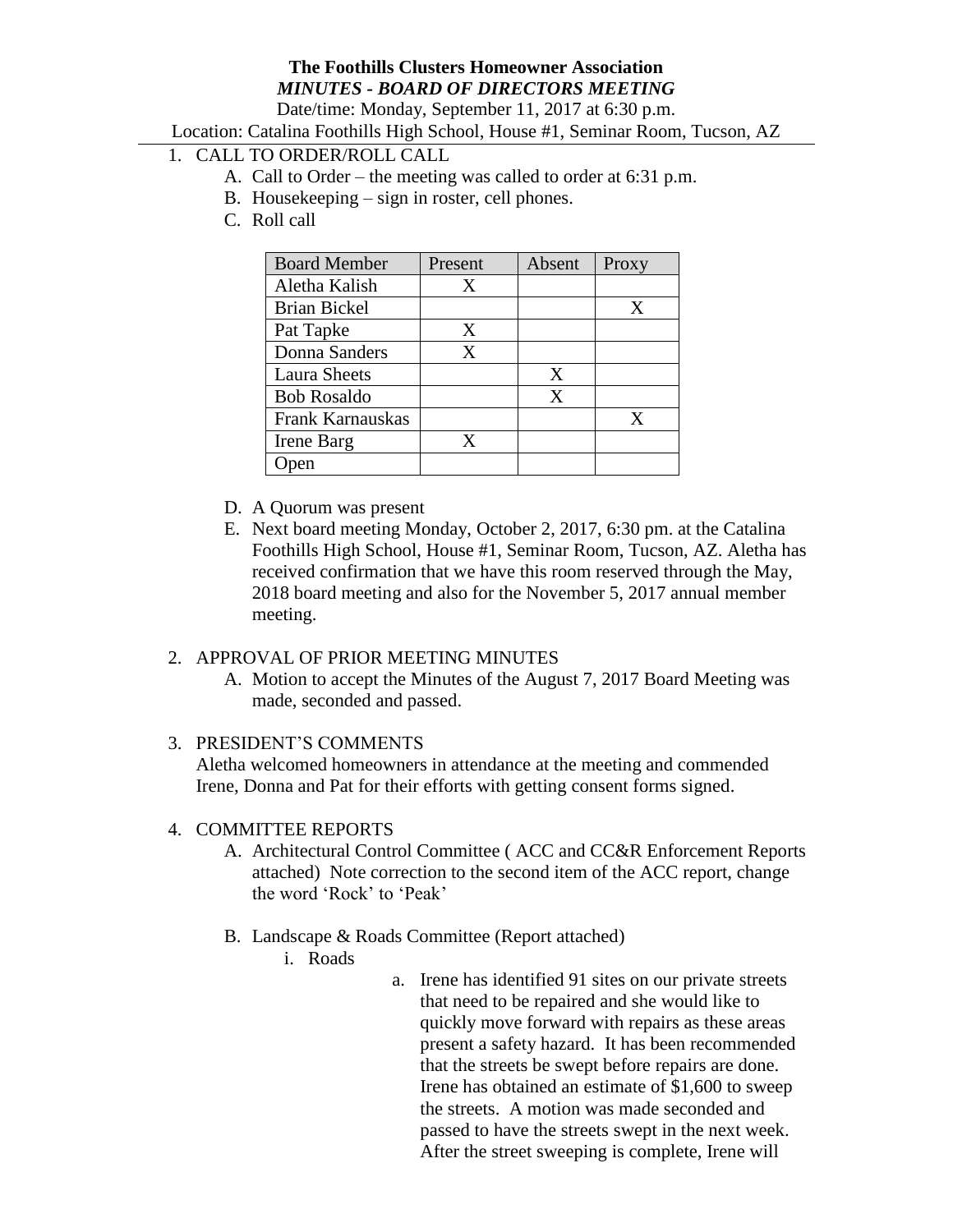# **The Foothills Clusters Homeowner Association** *MINUTES - BOARD OF DIRECTORS MEETING*

Date/time: Monday, September 11, 2017 at 6:30 p.m.

Location: Catalina Foothills High School, House #1, Seminar Room, Tucson, AZ

- 1. CALL TO ORDER/ROLL CALL
	- A. Call to Order the meeting was called to order at 6:31 p.m.
	- B. Housekeeping sign in roster, cell phones.
	- C. Roll call

| <b>Board Member</b> | Present | Absent | Proxy |
|---------------------|---------|--------|-------|
| Aletha Kalish       | X       |        |       |
| <b>Brian Bickel</b> |         |        | X     |
| Pat Tapke           | X       |        |       |
| Donna Sanders       | X       |        |       |
| <b>Laura Sheets</b> |         | X      |       |
| <b>Bob Rosaldo</b>  |         | X      |       |
| Frank Karnauskas    |         |        | x     |
| Irene Barg          | X       |        |       |
|                     |         |        |       |

- D. A Quorum was present
- E. Next board meeting Monday, October 2, 2017, 6:30 pm. at the Catalina Foothills High School, House #1, Seminar Room, Tucson, AZ. Aletha has received confirmation that we have this room reserved through the May, 2018 board meeting and also for the November 5, 2017 annual member meeting.

### 2. APPROVAL OF PRIOR MEETING MINUTES

A. Motion to accept the Minutes of the August 7, 2017 Board Meeting was made, seconded and passed.

### 3. PRESIDENT'S COMMENTS

Aletha welcomed homeowners in attendance at the meeting and commended Irene, Donna and Pat for their efforts with getting consent forms signed.

### 4. COMMITTEE REPORTS

- A. Architectural Control Committee ( ACC and CC&R Enforcement Reports attached) Note correction to the second item of the ACC report, change the word 'Rock' to 'Peak'
- B. Landscape & Roads Committee (Report attached)
	- i. Roads
- a. Irene has identified 91 sites on our private streets that need to be repaired and she would like to quickly move forward with repairs as these areas present a safety hazard. It has been recommended that the streets be swept before repairs are done. Irene has obtained an estimate of \$1,600 to sweep the streets. A motion was made seconded and passed to have the streets swept in the next week. After the street sweeping is complete, Irene will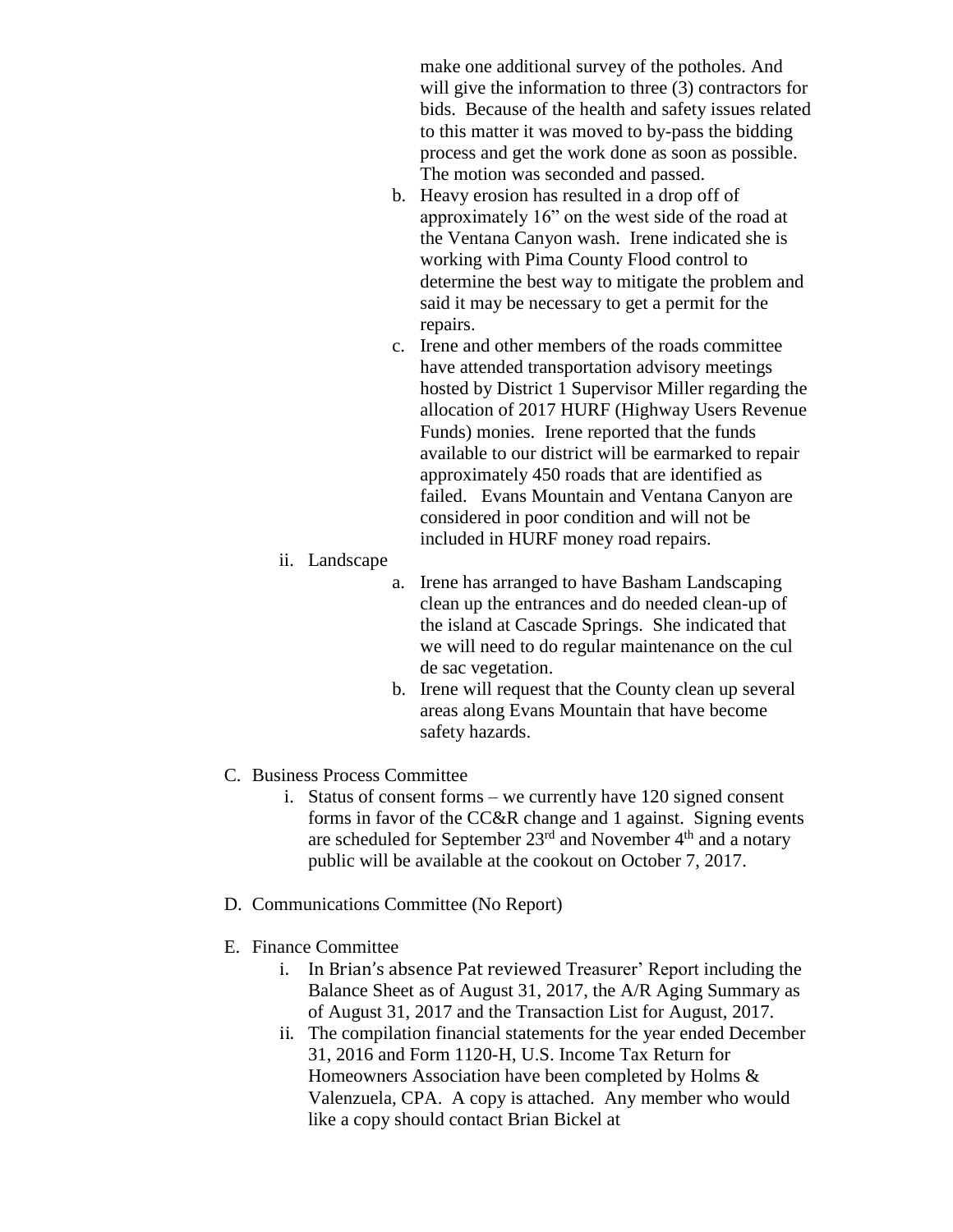make one additional survey of the potholes. And will give the information to three  $(3)$  contractors for bids. Because of the health and safety issues related to this matter it was moved to by-pass the bidding process and get the work done as soon as possible. The motion was seconded and passed.

- b. Heavy erosion has resulted in a drop off of approximately 16" on the west side of the road at the Ventana Canyon wash. Irene indicated she is working with Pima County Flood control to determine the best way to mitigate the problem and said it may be necessary to get a permit for the repairs.
- c. Irene and other members of the roads committee have attended transportation advisory meetings hosted by District 1 Supervisor Miller regarding the allocation of 2017 HURF (Highway Users Revenue Funds) monies. Irene reported that the funds available to our district will be earmarked to repair approximately 450 roads that are identified as failed. Evans Mountain and Ventana Canyon are considered in poor condition and will not be included in HURF money road repairs.
- ii. Landscape
	- a. Irene has arranged to have Basham Landscaping clean up the entrances and do needed clean-up of the island at Cascade Springs. She indicated that we will need to do regular maintenance on the cul de sac vegetation.
	- b. Irene will request that the County clean up several areas along Evans Mountain that have become safety hazards.
- C. Business Process Committee
	- i. Status of consent forms we currently have 120 signed consent forms in favor of the CC&R change and 1 against. Signing events are scheduled for September  $23<sup>rd</sup>$  and November  $4<sup>th</sup>$  and a notary public will be available at the cookout on October 7, 2017.
- D. Communications Committee (No Report)
- E. Finance Committee
	- i. In Brian's absence Pat reviewed Treasurer' Report including the Balance Sheet as of August 31, 2017, the A/R Aging Summary as of August 31, 2017 and the Transaction List for August, 2017.
	- ii. The compilation financial statements for the year ended December 31, 2016 and Form 1120-H, U.S. Income Tax Return for Homeowners Association have been completed by Holms & Valenzuela, CPA. A copy is attached. Any member who would like a copy should contact Brian Bickel at